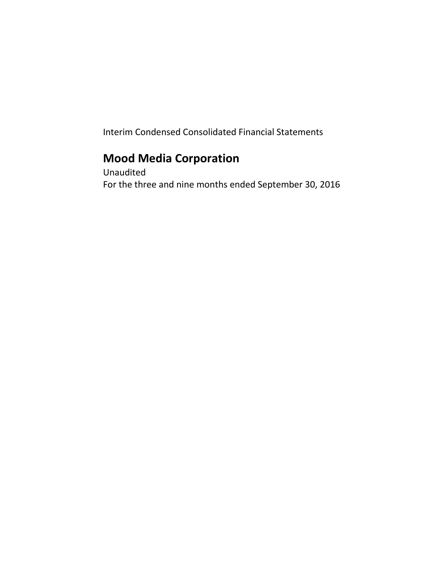Interim Condensed Consolidated Financial Statements

# **Mood Media Corporation**

Unaudited For the three and nine months ended September 30, 2016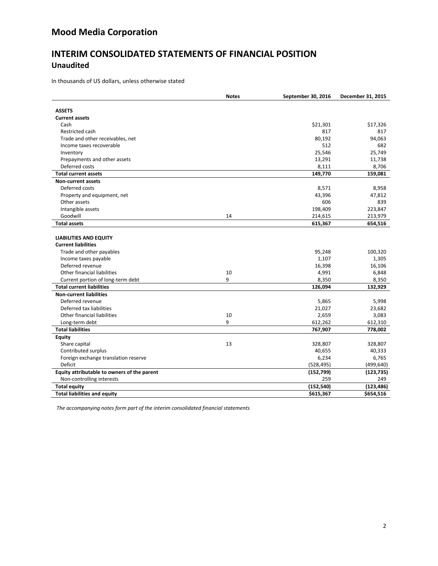## **INTERIM CONSOLIDATED STATEMENTS OF FINANCIAL POSITION Unaudited**

In thousands of US dollars, unless otherwise stated

|                                                             | <b>Notes</b> | September 30, 2016 | December 31, 2015 |
|-------------------------------------------------------------|--------------|--------------------|-------------------|
| <b>ASSETS</b>                                               |              |                    |                   |
| <b>Current assets</b>                                       |              |                    |                   |
| Cash                                                        |              | \$21,301           | \$17,326          |
| Restricted cash                                             |              | 817                | 817               |
| Trade and other receivables, net                            |              | 80,192             | 94,063            |
| Income taxes recoverable                                    |              | 512                | 682               |
| Inventory                                                   |              | 25,546             | 25,749            |
| Prepayments and other assets                                |              | 13,291             | 11,738            |
| Deferred costs                                              |              | 8,111              | 8,706             |
| <b>Total current assets</b>                                 |              | 149,770            | 159,081           |
| <b>Non-current assets</b>                                   |              |                    |                   |
| Deferred costs                                              |              | 8,571              | 8,958             |
| Property and equipment, net                                 |              | 43,396             | 47,812            |
| Other assets                                                |              | 606                | 839               |
| Intangible assets                                           |              | 198,409            | 223,847           |
| Goodwill                                                    | 14           | 214,615            | 213,979           |
| <b>Total assets</b>                                         |              | 615,367            | 654,516           |
|                                                             |              |                    |                   |
|                                                             |              |                    |                   |
| <b>LIABILITIES AND EQUITY</b><br><b>Current liabilities</b> |              |                    |                   |
| Trade and other payables                                    |              | 95,248             | 100,320           |
|                                                             |              |                    |                   |
| Income taxes payable<br>Deferred revenue                    |              | 1,107<br>16,398    | 1,305<br>16,106   |
| Other financial liabilities                                 | 10           |                    |                   |
|                                                             | 9            | 4,991              | 6,848             |
| Current portion of long-term debt                           |              | 8,350              | 8,350             |
| <b>Total current liabilities</b>                            |              | 126,094            | 132,929           |
| <b>Non-current liabilities</b>                              |              |                    |                   |
| Deferred revenue                                            |              | 5,865              | 5,998             |
| Deferred tax liabilities                                    |              | 21,027             | 23,682            |
| Other financial liabilities                                 | 10           | 2,659              | 3,083             |
| Long-term debt                                              | 9            | 612,262            | 612,310           |
| <b>Total liabilities</b>                                    |              | 767,907            | 778,002           |
| <b>Equity</b>                                               |              |                    |                   |
| Share capital                                               | 13           | 328,807            | 328,807           |
| Contributed surplus                                         |              | 40,655             | 40,333            |
| Foreign exchange translation reserve                        |              | 6,234              | 6,765             |
| Deficit                                                     |              | (528, 495)         | (499, 640)        |
| Equity attributable to owners of the parent                 |              | (152, 799)         | (123, 735)        |
| Non-controlling interests                                   |              | 259                | 249               |
| <b>Total equity</b>                                         |              | (152, 540)         | (123, 486)        |
| <b>Total liabilities and equity</b>                         |              | \$615,367          | \$654,516         |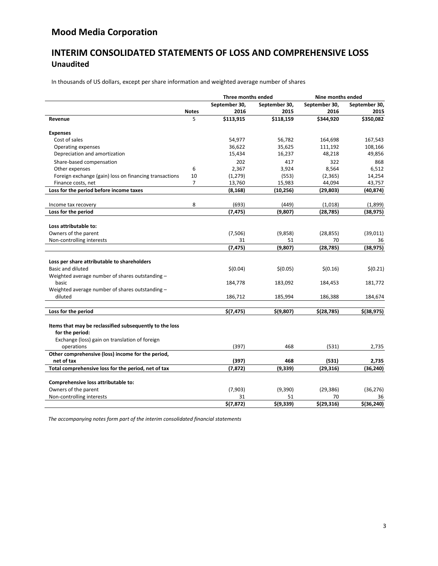## **INTERIM CONSOLIDATED STATEMENTS OF LOSS AND COMPREHENSIVE LOSS Unaudited**

In thousands of US dollars, except per share information and weighted average number of shares

|                                                                 | Three months ended |               | Nine months ended |                    |               |
|-----------------------------------------------------------------|--------------------|---------------|-------------------|--------------------|---------------|
|                                                                 |                    | September 30, | September 30,     | September 30,      | September 30, |
|                                                                 | <b>Notes</b>       | 2016          | 2015              | 2016               | 2015          |
| Revenue                                                         | 5                  | \$113,915     | \$118,159         | \$344,920          | \$350,082     |
| <b>Expenses</b>                                                 |                    |               |                   |                    |               |
| Cost of sales                                                   |                    | 54,977        | 56,782            | 164,698            | 167,543       |
| Operating expenses                                              |                    | 36,622        | 35,625            | 111,192            | 108,166       |
| Depreciation and amortization                                   |                    | 15,434        | 16,237            | 48,218             | 49,856        |
| Share-based compensation                                        |                    | 202           | 417               | 322                | 868           |
| Other expenses                                                  | 6                  | 2,367         | 3,924             | 8,564              | 6,512         |
| Foreign exchange (gain) loss on financing transactions          | 10                 | (1, 279)      | (553)             | (2, 365)           | 14,254        |
| Finance costs, net                                              | $\overline{7}$     | 13,760        | 15,983            | 44,094             | 43,757        |
| Loss for the period before income taxes                         |                    | (8, 168)      | (10, 256)         | (29, 803)          | (40,874)      |
| Income tax recovery                                             | 8                  | (693)         | (449)             | (1,018)            | (1,899)       |
| Loss for the period                                             |                    | (7, 475)      | (9,807)           | (28, 785)          | (38, 975)     |
|                                                                 |                    |               |                   |                    |               |
| Loss attributable to:                                           |                    |               |                   |                    |               |
| Owners of the parent                                            |                    | (7,506)       | (9,858)           | (28, 855)          | (39, 011)     |
| Non-controlling interests                                       |                    | 31            | 51                | 70                 | 36            |
|                                                                 |                    | (7, 475)      | (9,807)           | (28, 785)          | (38, 975)     |
|                                                                 |                    |               |                   |                    |               |
| Loss per share attributable to shareholders                     |                    |               |                   |                    |               |
| <b>Basic and diluted</b>                                        |                    | \$(0.04)      | \$(0.05)          | \$(0.16)           | \$(0.21)      |
| Weighted average number of shares outstanding -                 |                    |               |                   |                    |               |
| basic                                                           |                    | 184,778       | 183,092           | 184,453            | 181,772       |
| Weighted average number of shares outstanding -                 |                    |               |                   |                    |               |
| diluted                                                         |                    | 186,712       | 185,994           | 186,388            | 184,674       |
| Loss for the period                                             |                    | \$(7, 475)    | \$(9,807)         | \$(28, 785)        | $$$ (38,975)  |
|                                                                 |                    |               |                   |                    |               |
| Items that may be reclassified subsequently to the loss         |                    |               |                   |                    |               |
| for the period:                                                 |                    |               |                   |                    |               |
| Exchange (loss) gain on translation of foreign                  |                    |               |                   |                    |               |
| operations                                                      |                    | (397)         | 468               | (531)              | 2,735         |
| Other comprehensive (loss) income for the period,<br>net of tax |                    | (397)         | 468               |                    | 2,735         |
| Total comprehensive loss for the period, net of tax             |                    | (7,872)       | (9, 339)          | (531)<br>(29, 316) | (36, 240)     |
|                                                                 |                    |               |                   |                    |               |
| Comprehensive loss attributable to:                             |                    |               |                   |                    |               |
| Owners of the parent                                            |                    | (7,903)       | (9,390)           | (29, 386)          | (36, 276)     |
| Non-controlling interests                                       |                    | 31            | 51                | 70                 | 36            |
|                                                                 |                    | \$(7, 872)    | \$(9,339)         | \$(29, 316)        | $$$ (36,240)  |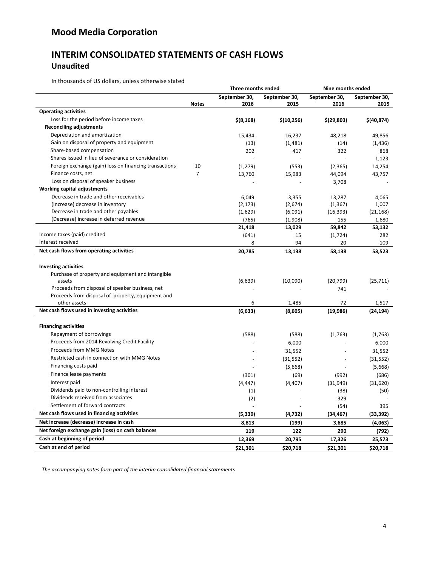## **INTERIM CONSOLIDATED STATEMENTS OF CASH FLOWS Unaudited**

In thousands of US dollars, unless otherwise stated

|                                                        |                | Three months ended |               | Nine months ended |               |
|--------------------------------------------------------|----------------|--------------------|---------------|-------------------|---------------|
|                                                        |                | September 30,      | September 30, | September 30,     | September 30, |
|                                                        | <b>Notes</b>   | 2016               | 2015          | 2016              | 2015          |
| <b>Operating activities</b>                            |                |                    |               |                   |               |
| Loss for the period before income taxes                |                | $$$ (8,168)        | \$(10, 256)   | \$(29, 803)       | \$(40,874)    |
| <b>Reconciling adjustments</b>                         |                |                    |               |                   |               |
| Depreciation and amortization                          |                | 15,434             | 16,237        | 48,218            | 49,856        |
| Gain on disposal of property and equipment             |                | (13)               | (1,481)       | (14)              | (1, 436)      |
| Share-based compensation                               |                | 202                | 417           | 322               | 868           |
| Shares issued in lieu of severance or consideration    |                |                    |               |                   | 1,123         |
| Foreign exchange (gain) loss on financing transactions | 10             | (1, 279)           | (553)         | (2, 365)          | 14,254        |
| Finance costs, net                                     | $\overline{7}$ | 13,760             | 15,983        | 44,094            | 43,757        |
| Loss on disposal of speaker business                   |                |                    |               | 3,708             |               |
| <b>Working capital adjustments</b>                     |                |                    |               |                   |               |
| Decrease in trade and other receivables                |                | 6,049              | 3,355         | 13,287            | 4,065         |
| (Increase) decrease in inventory                       |                | (2, 173)           | (2,674)       | (1, 367)          | 1,007         |
| Decrease in trade and other payables                   |                | (1,629)            | (6,091)       | (16, 393)         | (21, 168)     |
| (Decrease) increase in deferred revenue                |                | (765)              | (1,908)       | 155               | 1,680         |
|                                                        |                | 21,418             | 13,029        | 59,842            | 53,132        |
| Income taxes (paid) credited                           |                | (641)              | 15            | (1,724)           | 282           |
| Interest received                                      |                | 8                  | 94            | 20                | 109           |
| Net cash flows from operating activities               |                | 20,785             | 13,138        | 58,138            | 53,523        |
|                                                        |                |                    |               |                   |               |
| <b>Investing activities</b>                            |                |                    |               |                   |               |
| Purchase of property and equipment and intangible      |                |                    |               |                   |               |
| assets                                                 |                | (6,639)            | (10,090)      | (20, 799)         | (25, 711)     |
| Proceeds from disposal of speaker business, net        |                |                    |               | 741               |               |
| Proceeds from disposal of property, equipment and      |                |                    |               |                   |               |
| other assets                                           |                | 6                  | 1,485         | 72                | 1,517         |
| Net cash flows used in investing activities            |                | (6, 633)           | (8,605)       | (19, 986)         | (24, 194)     |
|                                                        |                |                    |               |                   |               |
| <b>Financing activities</b>                            |                |                    |               |                   |               |
| Repayment of borrowings                                |                | (588)              | (588)         | (1,763)           | (1,763)       |
| Proceeds from 2014 Revolving Credit Facility           |                |                    | 6,000         |                   | 6,000         |
| Proceeds from MMG Notes                                |                |                    | 31,552        |                   | 31,552        |
| Restricted cash in connection with MMG Notes           |                |                    | (31, 552)     |                   | (31, 552)     |
| Financing costs paid                                   |                |                    | (5,668)       |                   | (5,668)       |
| Finance lease payments                                 |                | (301)              | (69)          | (992)             | (686)         |
| Interest paid                                          |                | (4, 447)           | (4, 407)      | (31, 949)         | (31,620)      |
| Dividends paid to non-controlling interest             |                | (1)                |               | (38)              | (50)          |
| Dividends received from associates                     |                | (2)                |               | 329               |               |
| Settlement of forward contracts                        |                |                    |               | (54)              | 395           |
| Net cash flows used in financing activities            |                | (5, 339)           | (4, 732)      | (34, 467)         | (33, 392)     |
| Net increase (decrease) increase in cash               |                | 8,813              | (199)         | 3,685             |               |
| Net foreign exchange gain (loss) on cash balances      |                |                    |               |                   | (4,063)       |
| Cash at beginning of period                            |                | 119                | 122           | 290               | (792)         |
| Cash at end of period                                  |                | 12,369             | 20,795        | 17,326            | 25,573        |
|                                                        |                | \$21,301           | \$20,718      | \$21,301          | \$20,718      |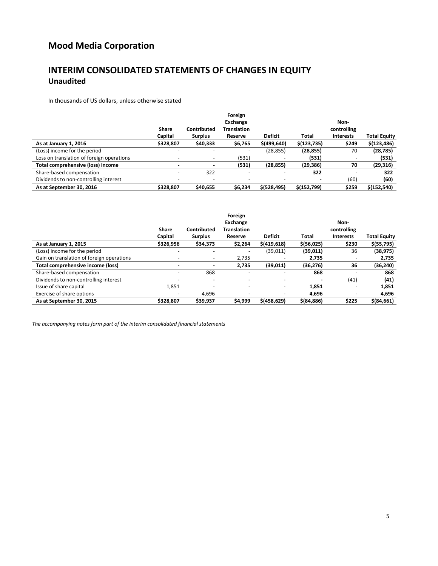## **INTERIM CONSOLIDATED STATEMENTS OF CHANGES IN EQUITY Unaudited**

In thousands of US dollars, unless otherwise stated

|                                           |           |                          | Foreign                  |                          |              |                          |                     |
|-------------------------------------------|-----------|--------------------------|--------------------------|--------------------------|--------------|--------------------------|---------------------|
|                                           |           |                          | Exchange                 |                          |              | Non-                     |                     |
|                                           | Share     | Contributed              | <b>Translation</b>       |                          |              | controlling              |                     |
|                                           | Capital   | <b>Surplus</b>           | Reserve                  | <b>Deficit</b>           | Total        | <b>Interests</b>         | <b>Total Equity</b> |
| As at January 1, 2016                     | \$328,807 | \$40,333                 | \$6,765                  | \$(499, 640)             | \$(123, 735) | \$249                    | \$(123, 486)        |
| (Loss) income for the period              |           |                          | $\overline{\phantom{a}}$ | (28, 855)                | (28, 855)    | 70                       | (28, 785)           |
| Loss on translation of foreign operations |           |                          | (531)                    |                          | (531)        | $\overline{\phantom{a}}$ | (531)               |
| Total comprehensive (loss) income         |           |                          | (531)                    | (28, 855)                | (29, 386)    | 70                       | (29, 316)           |
| Share-based compensation                  |           | 322                      | $\overline{\phantom{m}}$ | $\overline{\phantom{a}}$ | 322          | -                        | 322                 |
| Dividends to non-controlling interest     |           | $\overline{\phantom{a}}$ | $\overline{\phantom{a}}$ | <b>.</b>                 |              | (60)                     | (60)                |
| As at September 30, 2016                  | \$328.807 | \$40,655                 | \$6,234                  | \$ (528, 495)            | \$(152,799)  | \$259                    | \$(152, 540)        |

|                                           |                          |                          | Foreign                  |                          |              |                          |                     |
|-------------------------------------------|--------------------------|--------------------------|--------------------------|--------------------------|--------------|--------------------------|---------------------|
|                                           |                          |                          | Exchange                 |                          |              | Non-                     |                     |
|                                           | <b>Share</b>             | Contributed              | <b>Translation</b>       |                          |              | controlling              |                     |
|                                           | Capital                  | <b>Surplus</b>           | Reserve                  | <b>Deficit</b>           | Total        | <b>Interests</b>         | <b>Total Equity</b> |
| As at January 1, 2015                     | \$326,956                | \$34,373                 | \$2,264                  | \$(419, 618)             | \$ (56, 025) | \$230                    | \$(55, 795)         |
| (Loss) income for the period              |                          |                          | $\overline{\phantom{a}}$ | (39, 011)                | (39,011)     | 36                       | (38, 975)           |
| Gain on translation of foreign operations |                          | $\overline{\phantom{0}}$ | 2,735                    |                          | 2,735        | $\overline{\phantom{a}}$ | 2,735               |
| Total comprehensive income (loss)         |                          |                          | 2,735                    | (39,011)                 | (36, 276)    | 36                       | (36, 240)           |
| Share-based compensation                  | $\overline{\phantom{0}}$ | 868                      | $\overline{\phantom{0}}$ | $\overline{\phantom{0}}$ | 868          | ٠                        | 868                 |
| Dividends to non-controlling interest     |                          | $\sim$                   | $\overline{\phantom{0}}$ | $\sim$                   |              | (41)                     | (41)                |
| Issue of share capital                    | 1,851                    |                          | $\overline{\phantom{m}}$ | -                        | 1,851        | -                        | 1,851               |
| Exercise of share options                 |                          | 4,696                    | -                        |                          | 4.696        | $\overline{\phantom{0}}$ | 4,696               |
| As at September 30, 2015                  | \$328.807                | \$39,937                 | \$4,999                  | \$(458, 629)             | \$ (84, 886) | \$225                    | $$$ (84,661)        |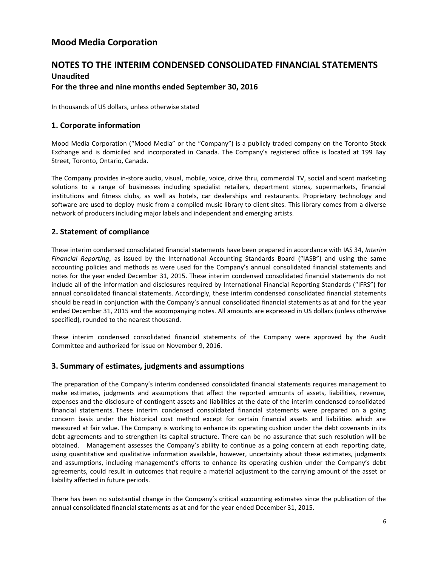## **NOTES TO THE INTERIM CONDENSED CONSOLIDATED FINANCIAL STATEMENTS Unaudited For the three and nine months ended September 30, 2016**

In thousands of US dollars, unless otherwise stated

### **1. Corporate information**

Mood Media Corporation ("Mood Media" or the "Company") is a publicly traded company on the Toronto Stock Exchange and is domiciled and incorporated in Canada. The Company's registered office is located at 199 Bay Street, Toronto, Ontario, Canada.

The Company provides in-store audio, visual, mobile, voice, drive thru, commercial TV, social and scent marketing solutions to a range of businesses including specialist retailers, department stores, supermarkets, financial institutions and fitness clubs, as well as hotels, car dealerships and restaurants. Proprietary technology and software are used to deploy music from a compiled music library to client sites. This library comes from a diverse network of producers including major labels and independent and emerging artists.

## **2. Statement of compliance**

These interim condensed consolidated financial statements have been prepared in accordance with IAS 34, *Interim Financial Reporting*, as issued by the International Accounting Standards Board ("IASB") and using the same accounting policies and methods as were used for the Company's annual consolidated financial statements and notes for the year ended December 31, 2015. These interim condensed consolidated financial statements do not include all of the information and disclosures required by International Financial Reporting Standards ("IFRS") for annual consolidated financial statements. Accordingly, these interim condensed consolidated financial statements should be read in conjunction with the Company's annual consolidated financial statements as at and for the year ended December 31, 2015 and the accompanying notes. All amounts are expressed in US dollars (unless otherwise specified), rounded to the nearest thousand.

These interim condensed consolidated financial statements of the Company were approved by the Audit Committee and authorized for issue on November 9, 2016.

### **3. Summary of estimates, judgments and assumptions**

The preparation of the Company's interim condensed consolidated financial statements requires management to make estimates, judgments and assumptions that affect the reported amounts of assets, liabilities, revenue, expenses and the disclosure of contingent assets and liabilities at the date of the interim condensed consolidated financial statements. These interim condensed consolidated financial statements were prepared on a going concern basis under the historical cost method except for certain financial assets and liabilities which are measured at fair value. The Company is working to enhance its operating cushion under the debt covenants in its debt agreements and to strengthen its capital structure. There can be no assurance that such resolution will be obtained. Management assesses the Company's ability to continue as a going concern at each reporting date, using quantitative and qualitative information available, however, uncertainty about these estimates, judgments and assumptions, including management's efforts to enhance its operating cushion under the Company's debt agreements, could result in outcomes that require a material adjustment to the carrying amount of the asset or liability affected in future periods.

There has been no substantial change in the Company's critical accounting estimates since the publication of the annual consolidated financial statements as at and for the year ended December 31, 2015.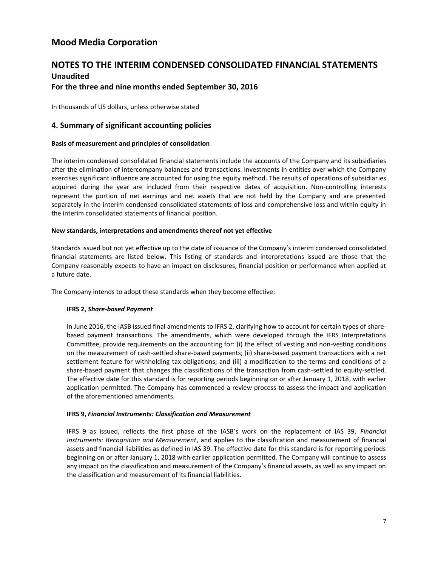## **NOTES TO THE INTERIM CONDENSED CONSOLIDATED FINANCIAL STATEMENTS Unaudited**

### **For the three and nine months ended September 30, 2016**

In thousands of US dollars, unless otherwise stated

## **4. Summary of significant accounting policies**

#### **Basis of measurement and principles of consolidation**

The interim condensed consolidated financial statements include the accounts of the Company and its subsidiaries after the elimination of intercompany balances and transactions. Investments in entities over which the Company exercises significant influence are accounted for using the equity method. The results of operations of subsidiaries acquired during the year are included from their respective dates of acquisition. Non-controlling interests represent the portion of net earnings and net assets that are not held by the Company and are presented separately in the interim condensed consolidated statements of loss and comprehensive loss and within equity in the interim consolidated statements of financial position.

#### **New standards, interpretations and amendments thereof not yet effective**

Standards issued but not yet effective up to the date of issuance of the Company's interim condensed consolidated financial statements are listed below. This listing of standards and interpretations issued are those that the Company reasonably expects to have an impact on disclosures, financial position or performance when applied at a future date.

The Company intends to adopt these standards when they become effective:

#### **IFRS 2,** *Share-based Payment*

In June 2016, the IASB issued final amendments to IFRS 2, clarifying how to account for certain types of sharebased payment transactions. The amendments, which were developed through the IFRS Interpretations Committee, provide requirements on the accounting for: (i) the effect of vesting and non-vesting conditions on the measurement of cash-settled share-based payments; (ii) share-based payment transactions with a net settlement feature for withholding tax obligations; and (iii) a modification to the terms and conditions of a share-based payment that changes the classifications of the transaction from cash-settled to equity-settled. The effective date for this standard is for reporting periods beginning on or after January 1, 2018, with earlier application permitted. The Company has commenced a review process to assess the impact and application of the aforementioned amendments.

#### **IFRS 9,** *Financial Instruments: Classification and Measurement*

IFRS 9 as issued, reflects the first phase of the IASB's work on the replacement of IAS 39, *Financial Instruments: Recognition and Measurement*, and applies to the classification and measurement of financial assets and financial liabilities as defined in IAS 39. The effective date for this standard is for reporting periods beginning on or after January 1, 2018 with earlier application permitted. The Company will continue to assess any impact on the classification and measurement of the Company's financial assets, as well as any impact on the classification and measurement of its financial liabilities.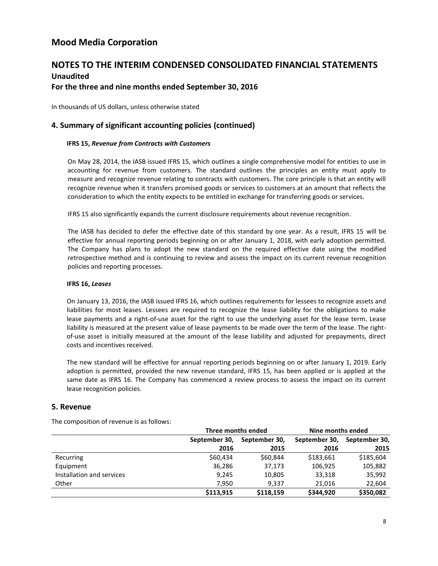## **NOTES TO THE INTERIM CONDENSED CONSOLIDATED FINANCIAL STATEMENTS Unaudited**

### **For the three and nine months ended September 30, 2016**

In thousands of US dollars, unless otherwise stated

## **4. Summary of significant accounting policies (continued)**

#### **IFRS 15,** *Revenue from Contracts with Customers*

On May 28, 2014, the IASB issued IFRS 15, which outlines a single comprehensive model for entities to use in accounting for revenue from customers. The standard outlines the principles an entity must apply to measure and recognize revenue relating to contracts with customers. The core principle is that an entity will recognize revenue when it transfers promised goods or services to customers at an amount that reflects the consideration to which the entity expects to be entitled in exchange for transferring goods or services.

IFRS 15 also significantly expands the current disclosure requirements about revenue recognition.

The IASB has decided to defer the effective date of this standard by one year. As a result, IFRS 15 will be effective for annual reporting periods beginning on or after January 1, 2018, with early adoption permitted. The Company has plans to adopt the new standard on the required effective date using the modified retrospective method and is continuing to review and assess the impact on its current revenue recognition policies and reporting processes.

#### **IFRS 16,** *Leases*

On January 13, 2016, the IASB issued IFRS 16, which outlines requirements for lessees to recognize assets and liabilities for most leases. Lessees are required to recognize the lease liability for the obligations to make lease payments and a right-of-use asset for the right to use the underlying asset for the lease term. Lease liability is measured at the present value of lease payments to be made over the term of the lease. The rightof-use asset is initially measured at the amount of the lease liability and adjusted for prepayments, direct costs and incentives received.

The new standard will be effective for annual reporting periods beginning on or after January 1, 2019. Early adoption is permitted, provided the new revenue standard, IFRS 15, has been applied or is applied at the same date as IFRS 16. The Company has commenced a review process to assess the impact on its current lease recognition policies.

### **5. Revenue**

The composition of revenue is as follows:

|                           |               | Three months ended | Nine months ended |               |  |
|---------------------------|---------------|--------------------|-------------------|---------------|--|
|                           | September 30, | September 30,      | September 30,     | September 30, |  |
|                           | 2016          | 2015               | 2016              | 2015          |  |
| Recurring                 | \$60,434      | \$60,844           | \$183,661         | \$185,604     |  |
| Equipment                 | 36,286        | 37,173             | 106,925           | 105,882       |  |
| Installation and services | 9,245         | 10,805             | 33,318            | 35,992        |  |
| Other                     | 7,950         | 9,337              | 21,016            | 22,604        |  |
|                           | \$113,915     | \$118,159          | \$344,920         | \$350,082     |  |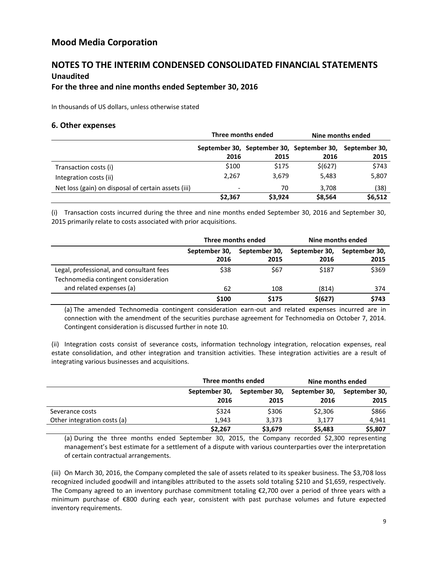## **NOTES TO THE INTERIM CONDENSED CONSOLIDATED FINANCIAL STATEMENTS Unaudited**

## **For the three and nine months ended September 30, 2016**

In thousands of US dollars, unless otherwise stated

#### **6. Other expenses**

|                                                     |                          | Three months ended | Nine months ended                                       |         |  |
|-----------------------------------------------------|--------------------------|--------------------|---------------------------------------------------------|---------|--|
|                                                     |                          |                    | September 30, September 30, September 30, September 30, |         |  |
|                                                     | 2016                     | 2015               | 2016                                                    | 2015    |  |
| Transaction costs (i)                               | \$100                    | \$175              | \$ (627)                                                | \$743   |  |
| Integration costs (ii)                              | 2,267                    | 3,679              | 5,483                                                   | 5,807   |  |
| Net loss (gain) on disposal of certain assets (iii) | $\overline{\phantom{a}}$ | 70                 | 3,708                                                   | (38)    |  |
|                                                     | \$2,367                  | \$3,924            | \$8,564                                                 | \$6,512 |  |

(i) Transaction costs incurred during the three and nine months ended September 30, 2016 and September 30, 2015 primarily relate to costs associated with prior acquisitions.

|                                          |               | Three months ended | Nine months ended |               |  |
|------------------------------------------|---------------|--------------------|-------------------|---------------|--|
|                                          | September 30, | September 30,      | September 30,     | September 30, |  |
|                                          | 2016          | 2015               | 2016              | 2015          |  |
| Legal, professional, and consultant fees | \$38          | \$67               | \$187             | \$369         |  |
| Technomedia contingent consideration     |               |                    |                   |               |  |
| and related expenses (a)                 | 62            | 108                | (814)             | 374           |  |
|                                          | \$100         | \$175              | \$(627)           | \$743         |  |

(a) The amended Technomedia contingent consideration earn-out and related expenses incurred are in connection with the amendment of the securities purchase agreement for Technomedia on October 7, 2014. Contingent consideration is discussed further in note 10.

(ii) Integration costs consist of severance costs, information technology integration, relocation expenses, real estate consolidation, and other integration and transition activities. These integration activities are a result of integrating various businesses and acquisitions.

|                             | Three months ended |         | Nine months ended           |               |  |
|-----------------------------|--------------------|---------|-----------------------------|---------------|--|
|                             | September 30,      |         | September 30, September 30, | September 30, |  |
|                             | 2016               | 2015    | 2016                        | 2015          |  |
| Severance costs             | \$324              | \$306   | \$2,306                     | \$866         |  |
| Other integration costs (a) | 1,943              | 3,373   | 3,177                       | 4,941         |  |
|                             | \$2,267            | \$3,679 | \$5,483                     | \$5,807       |  |

(a) During the three months ended September 30, 2015, the Company recorded \$2,300 representing management's best estimate for a settlement of a dispute with various counterparties over the interpretation of certain contractual arrangements.

(iii) On March 30, 2016, the Company completed the sale of assets related to its speaker business. The \$3,708 loss recognized included goodwill and intangibles attributed to the assets sold totaling \$210 and \$1,659, respectively. The Company agreed to an inventory purchase commitment totaling  $\epsilon$ 2,700 over a period of three years with a minimum purchase of €800 during each year, consistent with past purchase volumes and future expected inventory requirements.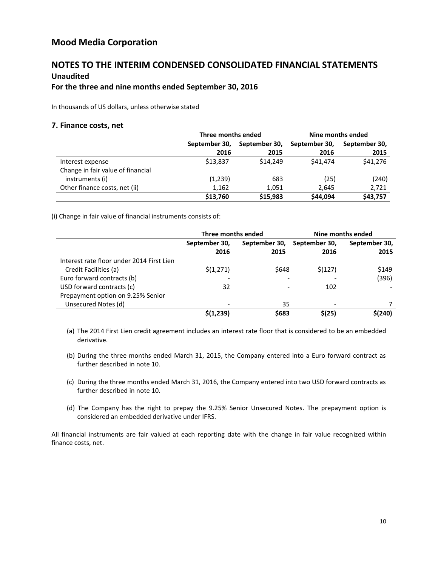## **NOTES TO THE INTERIM CONDENSED CONSOLIDATED FINANCIAL STATEMENTS Unaudited**

## **For the three and nine months ended September 30, 2016**

In thousands of US dollars, unless otherwise stated

#### **7. Finance costs, net**

|                                   | Three months ended |               | Nine months ended |               |  |
|-----------------------------------|--------------------|---------------|-------------------|---------------|--|
|                                   | September 30,      | September 30, | September 30,     | September 30, |  |
|                                   | 2016               | 2015          | 2016              | 2015          |  |
| Interest expense                  | \$13,837           | \$14.249      | \$41.474          | \$41,276      |  |
| Change in fair value of financial |                    |               |                   |               |  |
| instruments (i)                   | (1,239)            | 683           | (25)              | (240)         |  |
| Other finance costs, net (ii)     | 1,162              | 1,051         | 2,645             | 2,721         |  |
|                                   | \$13,760           | \$15,983      | \$44,094          | \$43,757      |  |

(i) Change in fair value of financial instruments consists of:

|                                           | Three months ended |               | Nine months ended |               |  |
|-------------------------------------------|--------------------|---------------|-------------------|---------------|--|
|                                           | September 30,      | September 30, | September 30,     | September 30, |  |
|                                           | 2016               | 2015          | 2016              | 2015          |  |
| Interest rate floor under 2014 First Lien |                    |               |                   |               |  |
| Credit Facilities (a)                     | \$(1,271)          | \$648         | \$(127)           | \$149         |  |
| Euro forward contracts (b)                |                    |               |                   | (396)         |  |
| USD forward contracts (c)                 | 32                 |               | 102               |               |  |
| Prepayment option on 9.25% Senior         |                    |               |                   |               |  |
| Unsecured Notes (d)                       |                    | 35            |                   |               |  |
|                                           | \$(1,239)          | \$683         | \$(25)            | \$(240)       |  |

(a) The 2014 First Lien credit agreement includes an interest rate floor that is considered to be an embedded derivative.

- (b) During the three months ended March 31, 2015, the Company entered into a Euro forward contract as further described in note 10.
- (c) During the three months ended March 31, 2016, the Company entered into two USD forward contracts as further described in note 10.
- (d) The Company has the right to prepay the 9.25% Senior Unsecured Notes. The prepayment option is considered an embedded derivative under IFRS.

All financial instruments are fair valued at each reporting date with the change in fair value recognized within finance costs, net.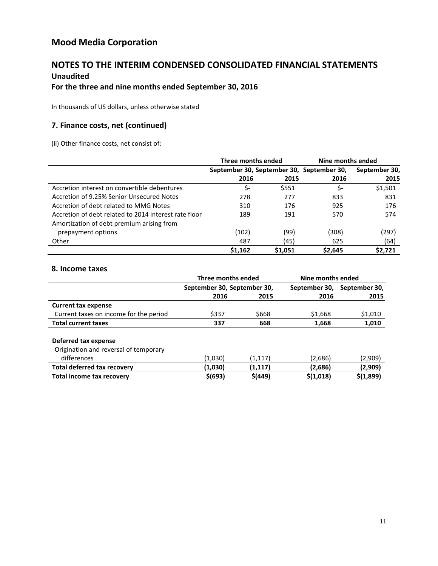## **NOTES TO THE INTERIM CONDENSED CONSOLIDATED FINANCIAL STATEMENTS Unaudited**

## **For the three and nine months ended September 30, 2016**

In thousands of US dollars, unless otherwise stated

## **7. Finance costs, net (continued)**

(ii) Other finance costs, net consist of:

|                                                       | Three months ended                        |         | Nine months ended |               |  |
|-------------------------------------------------------|-------------------------------------------|---------|-------------------|---------------|--|
|                                                       | September 30, September 30, September 30, |         |                   | September 30, |  |
|                                                       | 2016                                      | 2015    | 2016              | 2015          |  |
| Accretion interest on convertible debentures          | \$-                                       | \$551   | \$-               | \$1,501       |  |
| Accretion of 9.25% Senior Unsecured Notes             | 278                                       | 277     | 833               | 831           |  |
| Accretion of debt related to MMG Notes                | 310                                       | 176     | 925               | 176           |  |
| Accretion of debt related to 2014 interest rate floor | 189                                       | 191     | 570               | 574           |  |
| Amortization of debt premium arising from             |                                           |         |                   |               |  |
| prepayment options                                    | (102)                                     | (99)    | (308)             | (297)         |  |
| Other                                                 | 487                                       | (45)    | 625               | (64)          |  |
|                                                       | \$1,162                                   | \$1,051 | \$2,645           | \$2,721       |  |

### **8. Income taxes**

|                                        | Three months ended          |          | Nine months ended |               |
|----------------------------------------|-----------------------------|----------|-------------------|---------------|
|                                        | September 30, September 30, |          | September 30,     | September 30, |
|                                        | 2016                        | 2015     | 2016              | 2015          |
| <b>Current tax expense</b>             |                             |          |                   |               |
| Current taxes on income for the period | \$337                       | \$668    | \$1,668           | \$1,010       |
| <b>Total current taxes</b>             | 337                         | 668      | 1,668             | 1,010         |
| Deferred tax expense                   |                             |          |                   |               |
| Origination and reversal of temporary  |                             |          |                   |               |
| differences                            | (1,030)                     | (1, 117) | (2,686)           | (2,909)       |
| <b>Total deferred tax recovery</b>     | (1,030)                     | (1,117)  | (2,686)           | (2,909)       |
| Total income tax recovery              | \$(693)                     | \$(449)  | \$(1,018)         | \$(1,899)     |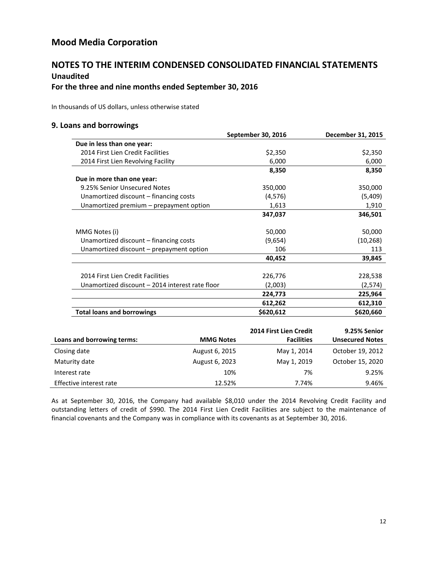## **NOTES TO THE INTERIM CONDENSED CONSOLIDATED FINANCIAL STATEMENTS Unaudited**

## **For the three and nine months ended September 30, 2016**

In thousands of US dollars, unless otherwise stated

### **9. Loans and borrowings**

|                                                 | September 30, 2016 | December 31, 2015 |
|-------------------------------------------------|--------------------|-------------------|
| Due in less than one year:                      |                    |                   |
| 2014 First Lien Credit Facilities               | \$2,350            | \$2,350           |
| 2014 First Lien Revolving Facility              | 6,000              | 6,000             |
|                                                 | 8,350              | 8,350             |
| Due in more than one year:                      |                    |                   |
| 9.25% Senior Unsecured Notes                    | 350,000            | 350,000           |
| Unamortized discount – financing costs          | (4, 576)           | (5,409)           |
| Unamortized premium - prepayment option         | 1,613              | 1,910             |
|                                                 | 347,037            | 346,501           |
|                                                 |                    |                   |
| MMG Notes (i)                                   | 50,000             | 50,000            |
| Unamortized discount – financing costs          | (9,654)            | (10, 268)         |
| Unamortized discount – prepayment option        | 106                | 113               |
|                                                 | 40,452             | 39,845            |
|                                                 |                    |                   |
| 2014 First Lien Credit Facilities               | 226,776            | 228,538           |
| Unamortized discount - 2014 interest rate floor | (2,003)            | (2,574)           |
|                                                 | 224,773            | 225,964           |
|                                                 | 612,262            | 612,310           |
| <b>Total loans and borrowings</b>               | \$620,612          | \$620,660         |

|                            |                  | 2014 First Lien Credit | 9.25% Senior           |
|----------------------------|------------------|------------------------|------------------------|
| Loans and borrowing terms: | <b>MMG Notes</b> | <b>Facilities</b>      | <b>Unsecured Notes</b> |
| Closing date               | August 6, 2015   | May 1, 2014            | October 19, 2012       |
| Maturity date              | August 6, 2023   | May 1, 2019            | October 15, 2020       |
| Interest rate              | 10%              | 7%                     | 9.25%                  |
| Effective interest rate    | 12.52%           | 7.74%                  | 9.46%                  |

As at September 30, 2016, the Company had available \$8,010 under the 2014 Revolving Credit Facility and outstanding letters of credit of \$990. The 2014 First Lien Credit Facilities are subject to the maintenance of financial covenants and the Company was in compliance with its covenants as at September 30, 2016.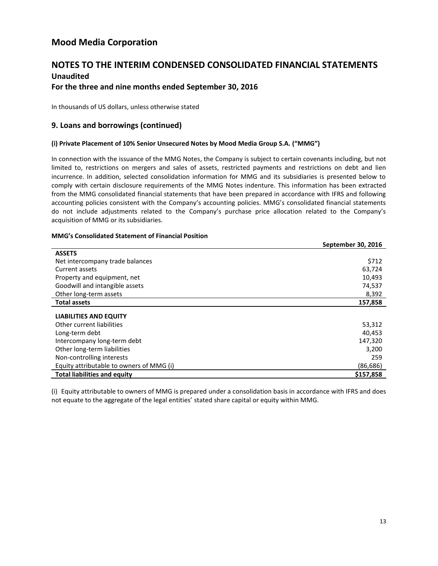# **NOTES TO THE INTERIM CONDENSED CONSOLIDATED FINANCIAL STATEMENTS**

## **Unaudited**

## **For the three and nine months ended September 30, 2016**

In thousands of US dollars, unless otherwise stated

## **9. Loans and borrowings (continued)**

#### **(i) Private Placement of 10% Senior Unsecured Notes by Mood Media Group S.A. ("MMG")**

In connection with the issuance of the MMG Notes, the Company is subject to certain covenants including, but not limited to, restrictions on mergers and sales of assets, restricted payments and restrictions on debt and lien incurrence. In addition, selected consolidation information for MMG and its subsidiaries is presented below to comply with certain disclosure requirements of the MMG Notes indenture. This information has been extracted from the MMG consolidated financial statements that have been prepared in accordance with IFRS and following accounting policies consistent with the Company's accounting policies. MMG's consolidated financial statements do not include adjustments related to the Company's purchase price allocation related to the Company's acquisition of MMG or its subsidiaries.

#### **MMG's Consolidated Statement of Financial Position**

|                                          | September 30, 2016 |
|------------------------------------------|--------------------|
| <b>ASSETS</b>                            |                    |
| Net intercompany trade balances          | \$712              |
| Current assets                           | 63,724             |
| Property and equipment, net              | 10,493             |
| Goodwill and intangible assets           | 74,537             |
| Other long-term assets                   | 8,392              |
| <b>Total assets</b>                      | 157,858            |
| <b>LIABILITIES AND EQUITY</b>            |                    |
| Other current liabilities                | 53,312             |
| Long-term debt                           | 40,453             |
| Intercompany long-term debt              | 147,320            |
| Other long-term liabilities              | 3,200              |
| Non-controlling interests                | 259                |
| Equity attributable to owners of MMG (i) | (86,686)           |
| <b>Total liabilities and equity</b>      | \$157,858          |

(i) Equity attributable to owners of MMG is prepared under a consolidation basis in accordance with IFRS and does not equate to the aggregate of the legal entities' stated share capital or equity within MMG.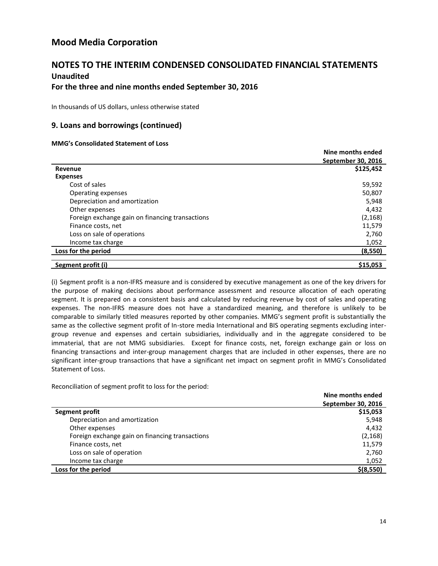## **NOTES TO THE INTERIM CONDENSED CONSOLIDATED FINANCIAL STATEMENTS Unaudited**

## **For the three and nine months ended September 30, 2016**

In thousands of US dollars, unless otherwise stated

### **9. Loans and borrowings (continued)**

#### **MMG's Consolidated Statement of Loss**

|                                                 | Nine months ended  |
|-------------------------------------------------|--------------------|
|                                                 | September 30, 2016 |
| Revenue                                         | \$125.452          |
| <b>Expenses</b>                                 |                    |
| Cost of sales                                   | 59,592             |
| Operating expenses                              | 50,807             |
| Depreciation and amortization                   | 5,948              |
| Other expenses                                  | 4,432              |
| Foreign exchange gain on financing transactions | (2, 168)           |
| Finance costs, net                              | 11,579             |
| Loss on sale of operations                      | 2,760              |
| Income tax charge                               | 1,052              |
| Loss for the period                             | (8,550)            |
| Segment profit (i)                              | \$15,053           |

(i) Segment profit is a non-IFRS measure and is considered by executive management as one of the key drivers for the purpose of making decisions about performance assessment and resource allocation of each operating segment. It is prepared on a consistent basis and calculated by reducing revenue by cost of sales and operating expenses. The non-IFRS measure does not have a standardized meaning, and therefore is unlikely to be comparable to similarly titled measures reported by other companies. MMG's segment profit is substantially the same as the collective segment profit of In-store media International and BIS operating segments excluding intergroup revenue and expenses and certain subsidiaries, individually and in the aggregate considered to be immaterial, that are not MMG subsidiaries. Except for finance costs, net, foreign exchange gain or loss on financing transactions and inter-group management charges that are included in other expenses, there are no significant inter-group transactions that have a significant net impact on segment profit in MMG's Consolidated Statement of Loss.

Reconciliation of segment profit to loss for the period:

|                                                 | Nine months ended  |
|-------------------------------------------------|--------------------|
|                                                 | September 30, 2016 |
| Segment profit                                  | \$15,053           |
| Depreciation and amortization                   | 5,948              |
| Other expenses                                  | 4,432              |
| Foreign exchange gain on financing transactions | (2, 168)           |
| Finance costs, net                              | 11,579             |
| Loss on sale of operation                       | 2,760              |
| Income tax charge                               | 1,052              |
| Loss for the period                             | $$$ (8,550)        |
|                                                 |                    |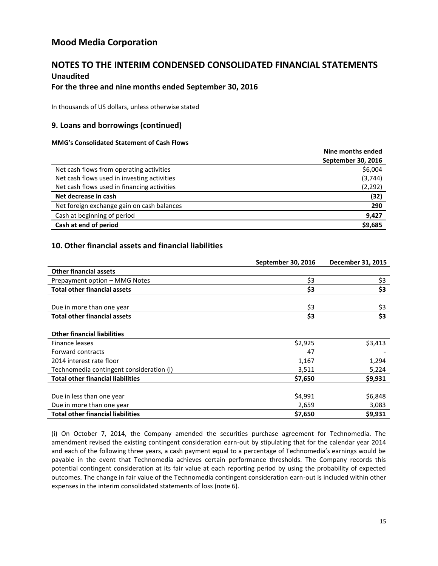## **NOTES TO THE INTERIM CONDENSED CONSOLIDATED FINANCIAL STATEMENTS Unaudited**

### **For the three and nine months ended September 30, 2016**

In thousands of US dollars, unless otherwise stated

## **9. Loans and borrowings (continued)**

#### **MMG's Consolidated Statement of Cash Flows**

|                                             | Nine months ended  |
|---------------------------------------------|--------------------|
|                                             | September 30, 2016 |
| Net cash flows from operating activities    | \$6,004            |
| Net cash flows used in investing activities | (3,744)            |
| Net cash flows used in financing activities | (2, 292)           |
| Net decrease in cash                        | (32)               |
| Net foreign exchange gain on cash balances  | 290                |
| Cash at beginning of period                 | 9,427              |
| Cash at end of period                       | \$9,685            |

## **10. Other financial assets and financial liabilities**

|                                          | September 30, 2016 | December 31, 2015 |
|------------------------------------------|--------------------|-------------------|
| <b>Other financial assets</b>            |                    |                   |
| Prepayment option - MMG Notes            | \$3                | \$3               |
| <b>Total other financial assets</b>      | \$3                | \$3               |
|                                          |                    |                   |
| Due in more than one year                | \$3                | \$3               |
| <b>Total other financial assets</b>      | \$3                | \$3               |
|                                          |                    |                   |
| <b>Other financial liabilities</b>       |                    |                   |
| Finance leases                           | \$2,925            | \$3,413           |
| Forward contracts                        | 47                 |                   |
| 2014 interest rate floor                 | 1,167              | 1,294             |
| Technomedia contingent consideration (i) | 3,511              | 5,224             |
| <b>Total other financial liabilities</b> | \$7,650            | \$9,931           |
|                                          |                    |                   |
| Due in less than one year                | \$4,991            | \$6,848           |
| Due in more than one year                | 2,659              | 3,083             |
| <b>Total other financial liabilities</b> | \$7,650            | \$9,931           |

(i) On October 7, 2014, the Company amended the securities purchase agreement for Technomedia. The amendment revised the existing contingent consideration earn-out by stipulating that for the calendar year 2014 and each of the following three years, a cash payment equal to a percentage of Technomedia's earnings would be payable in the event that Technomedia achieves certain performance thresholds. The Company records this potential contingent consideration at its fair value at each reporting period by using the probability of expected outcomes. The change in fair value of the Technomedia contingent consideration earn-out is included within other expenses in the interim consolidated statements of loss (note 6).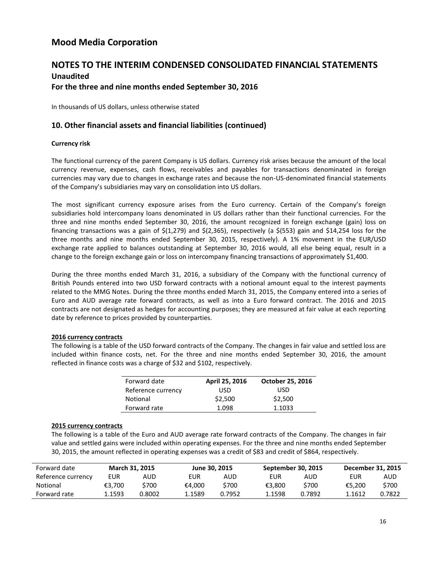## **NOTES TO THE INTERIM CONDENSED CONSOLIDATED FINANCIAL STATEMENTS Unaudited For the three and nine months ended September 30, 2016**

In thousands of US dollars, unless otherwise stated

## **10. Other financial assets and financial liabilities (continued)**

#### **Currency risk**

The functional currency of the parent Company is US dollars. Currency risk arises because the amount of the local currency revenue, expenses, cash flows, receivables and payables for transactions denominated in foreign currencies may vary due to changes in exchange rates and because the non-US-denominated financial statements of the Company's subsidiaries may vary on consolidation into US dollars.

The most significant currency exposure arises from the Euro currency. Certain of the Company's foreign subsidiaries hold intercompany loans denominated in US dollars rather than their functional currencies. For the three and nine months ended September 30, 2016, the amount recognized in foreign exchange (gain) loss on financing transactions was a gain of \$(1,279) and \$(2,365), respectively (a \$(553) gain and \$14,254 loss for the three months and nine months ended September 30, 2015, respectively). A 1% movement in the EUR/USD exchange rate applied to balances outstanding at September 30, 2016 would, all else being equal, result in a change to the foreign exchange gain or loss on intercompany financing transactions of approximately \$1,400.

During the three months ended March 31, 2016, a subsidiary of the Company with the functional currency of British Pounds entered into two USD forward contracts with a notional amount equal to the interest payments related to the MMG Notes. During the three months ended March 31, 2015, the Company entered into a series of Euro and AUD average rate forward contracts, as well as into a Euro forward contract. The 2016 and 2015 contracts are not designated as hedges for accounting purposes; they are measured at fair value at each reporting date by reference to prices provided by counterparties.

#### **2016 currency contracts**

The following is a table of the USD forward contracts of the Company. The changes in fair value and settled loss are included within finance costs, net. For the three and nine months ended September 30, 2016, the amount reflected in finance costs was a charge of \$32 and \$102, respectively.

| Forward date       | April 25, 2016 | <b>October 25, 2016</b> |
|--------------------|----------------|-------------------------|
| Reference currency | USD            | USD                     |
| Notional           | \$2,500        | \$2,500                 |
| Forward rate       | 1.098          | 1.1033                  |

#### **2015 currency contracts**

The following is a table of the Euro and AUD average rate forward contracts of the Company. The changes in fair value and settled gains were included within operating expenses. For the three and nine months ended September 30, 2015, the amount reflected in operating expenses was a credit of \$83 and credit of \$864, respectively.

| Forward date       |        | <b>March 31, 2015</b> | June 30, 2015 |        | September 30, 2015 |        | December 31, 2015 |        |
|--------------------|--------|-----------------------|---------------|--------|--------------------|--------|-------------------|--------|
| Reference currency | EUR    | AUD                   | EUR           | AUD    | EUR                | AUD    | EUR               | AUD    |
| Notional           | €3.700 | \$700                 | €4.000        | \$700  | €3.800             | \$700  | €5.200            | \$700  |
| Forward rate       | .1593  | 0.8002                | 1.1589        | 0.7952 | 1.1598             | 0.7892 | 1.1612            | 0.7822 |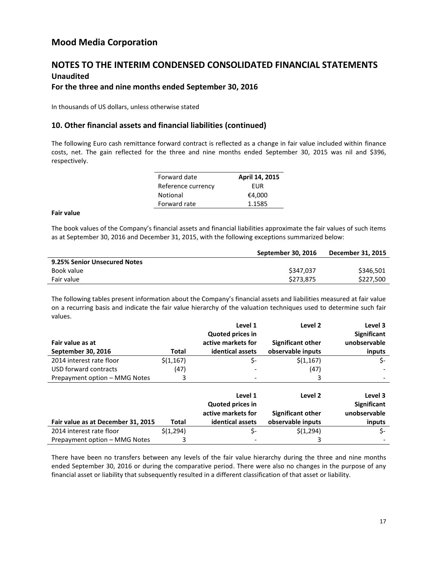## **NOTES TO THE INTERIM CONDENSED CONSOLIDATED FINANCIAL STATEMENTS Unaudited**

## **For the three and nine months ended September 30, 2016**

In thousands of US dollars, unless otherwise stated

## **10. Other financial assets and financial liabilities (continued)**

The following Euro cash remittance forward contract is reflected as a change in fair value included within finance costs, net. The gain reflected for the three and nine months ended September 30, 2015 was nil and \$396, respectively.

| Forward date       | April 14, 2015 |
|--------------------|----------------|
| Reference currency | FUR            |
| Notional           | €4,000         |
| Forward rate       | 1.1585         |

#### **Fair value**

The book values of the Company's financial assets and financial liabilities approximate the fair values of such items as at September 30, 2016 and December 31, 2015, with the following exceptions summarized below:

|                              | September 30, 2016 | December 31, 2015 |
|------------------------------|--------------------|-------------------|
| 9.25% Senior Unsecured Notes |                    |                   |
| Book value                   | \$347.037          | \$346.501         |
| Fair value                   | \$273,875          | \$227,500         |
|                              |                    |                   |

The following tables present information about the Company's financial assets and liabilities measured at fair value on a recurring basis and indicate the fair value hierarchy of the valuation techniques used to determine such fair values.

|                                    |              | Level 1                 | Level <sub>2</sub>       | Level 3            |
|------------------------------------|--------------|-------------------------|--------------------------|--------------------|
|                                    |              | <b>Quoted prices in</b> |                          | <b>Significant</b> |
| Fair value as at                   |              | active markets for      | <b>Significant other</b> | unobservable       |
| September 30, 2016                 | Total        | identical assets        | observable inputs        | inputs             |
| 2014 interest rate floor           | \$(1,167)    | \$-                     | \$(1,167)                | \$-                |
| USD forward contracts              | (47)         |                         | (47)                     |                    |
| Prepayment option - MMG Notes      | 3            |                         | 3                        |                    |
|                                    |              |                         |                          |                    |
|                                    |              | Level 1                 | Level 2                  | Level 3            |
|                                    |              | <b>Quoted prices in</b> |                          | <b>Significant</b> |
|                                    |              | active markets for      | <b>Significant other</b> | unobservable       |
| Fair value as at December 31, 2015 | <b>Total</b> | identical assets        | observable inputs        | inputs             |
| 2014 interest rate floor           | \$(1,294)    | \$-                     | \$(1,294)                | \$-                |
| Prepayment option - MMG Notes      | 3            |                         |                          |                    |

There have been no transfers between any levels of the fair value hierarchy during the three and nine months ended September 30, 2016 or during the comparative period. There were also no changes in the purpose of any financial asset or liability that subsequently resulted in a different classification of that asset or liability.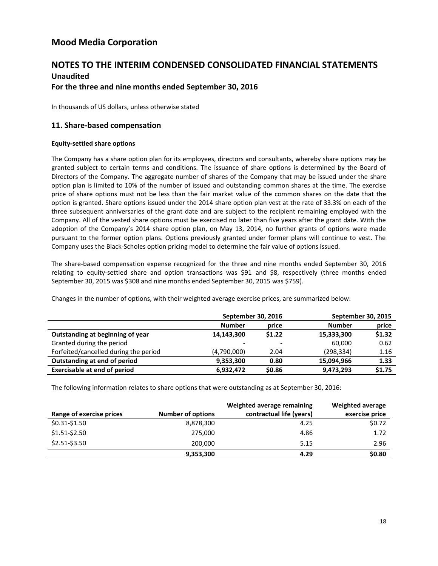## **NOTES TO THE INTERIM CONDENSED CONSOLIDATED FINANCIAL STATEMENTS Unaudited For the three and nine months ended September 30, 2016**

In thousands of US dollars, unless otherwise stated

## **11. Share-based compensation**

#### **Equity-settled share options**

The Company has a share option plan for its employees, directors and consultants, whereby share options may be granted subject to certain terms and conditions. The issuance of share options is determined by the Board of Directors of the Company. The aggregate number of shares of the Company that may be issued under the share option plan is limited to 10% of the number of issued and outstanding common shares at the time. The exercise price of share options must not be less than the fair market value of the common shares on the date that the option is granted. Share options issued under the 2014 share option plan vest at the rate of 33.3% on each of the three subsequent anniversaries of the grant date and are subject to the recipient remaining employed with the Company. All of the vested share options must be exercised no later than five years after the grant date. With the adoption of the Company's 2014 share option plan, on May 13, 2014, no further grants of options were made pursuant to the former option plans. Options previously granted under former plans will continue to vest. The Company uses the Black-Scholes option pricing model to determine the fair value of options issued.

The share-based compensation expense recognized for the three and nine months ended September 30, 2016 relating to equity-settled share and option transactions was \$91 and \$8, respectively (three months ended September 30, 2015 was \$308 and nine months ended September 30, 2015 was \$759).

|                                       | September 30, 2016       |                          | September 30, 2015 |        |
|---------------------------------------|--------------------------|--------------------------|--------------------|--------|
|                                       | <b>Number</b>            | price                    | <b>Number</b>      | price  |
| Outstanding at beginning of year      | 14,143,300               | \$1.22                   | 15,333,300         | \$1.32 |
| Granted during the period             | $\overline{\phantom{a}}$ | $\overline{\phantom{a}}$ | 60.000             | 0.62   |
| Forfeited/cancelled during the period | (4,790,000)              | 2.04                     | (298, 334)         | 1.16   |
| Outstanding at end of period          | 9,353,300                | 0.80                     | 15,094,966         | 1.33   |

**Exercisable at end of period 6,932,472 \$0.86 9,473,293 \$1.75**

Changes in the number of options, with their weighted average exercise prices, are summarized below:

The following information relates to share options that were outstanding as at September 30, 2016:

| Range of exercise prices | <b>Number of options</b> | Weighted average remaining<br>contractual life (years) | Weighted average<br>exercise price |
|--------------------------|--------------------------|--------------------------------------------------------|------------------------------------|
| \$0.31-\$1.50            | 8,878,300                | 4.25                                                   | \$0.72                             |
| $$1.51 - $2.50$          | 275,000                  | 4.86                                                   | 1.72                               |
| \$2.51-\$3.50            | 200,000                  | 5.15                                                   | 2.96                               |
|                          | 9,353,300                | 4.29                                                   | \$0.80                             |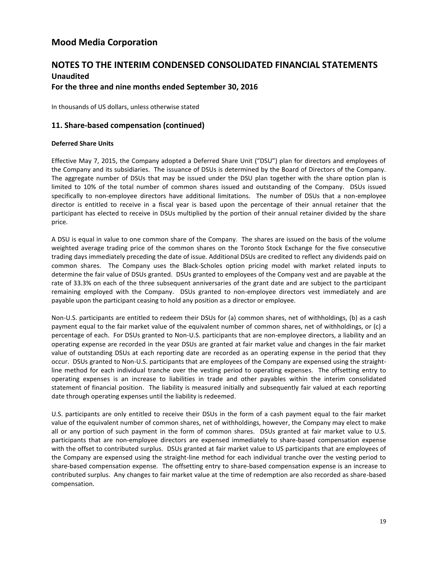## **NOTES TO THE INTERIM CONDENSED CONSOLIDATED FINANCIAL STATEMENTS Unaudited For the three and nine months ended September 30, 2016**

In thousands of US dollars, unless otherwise stated

## **11. Share-based compensation (continued)**

#### **Deferred Share Units**

Effective May 7, 2015, the Company adopted a Deferred Share Unit ("DSU") plan for directors and employees of the Company and its subsidiaries. The issuance of DSUs is determined by the Board of Directors of the Company. The aggregate number of DSUs that may be issued under the DSU plan together with the share option plan is limited to 10% of the total number of common shares issued and outstanding of the Company. DSUs issued specifically to non-employee directors have additional limitations. The number of DSUs that a non-employee director is entitled to receive in a fiscal year is based upon the percentage of their annual retainer that the participant has elected to receive in DSUs multiplied by the portion of their annual retainer divided by the share price.

A DSU is equal in value to one common share of the Company. The shares are issued on the basis of the volume weighted average trading price of the common shares on the Toronto Stock Exchange for the five consecutive trading days immediately preceding the date of issue. Additional DSUs are credited to reflect any dividends paid on common shares. The Company uses the Black-Scholes option pricing model with market related inputs to determine the fair value of DSUs granted. DSUs granted to employees of the Company vest and are payable at the rate of 33.3% on each of the three subsequent anniversaries of the grant date and are subject to the participant remaining employed with the Company. DSUs granted to non-employee directors vest immediately and are payable upon the participant ceasing to hold any position as a director or employee.

Non-U.S. participants are entitled to redeem their DSUs for (a) common shares, net of withholdings, (b) as a cash payment equal to the fair market value of the equivalent number of common shares, net of withholdings, or (c) a percentage of each. For DSUs granted to Non-U.S. participants that are non-employee directors, a liability and an operating expense are recorded in the year DSUs are granted at fair market value and changes in the fair market value of outstanding DSUs at each reporting date are recorded as an operating expense in the period that they occur. DSUs granted to Non-U.S. participants that are employees of the Company are expensed using the straightline method for each individual tranche over the vesting period to operating expenses. The offsetting entry to operating expenses is an increase to liabilities in trade and other payables within the interim consolidated statement of financial position. The liability is measured initially and subsequently fair valued at each reporting date through operating expenses until the liability is redeemed.

U.S. participants are only entitled to receive their DSUs in the form of a cash payment equal to the fair market value of the equivalent number of common shares, net of withholdings, however, the Company may elect to make all or any portion of such payment in the form of common shares. DSUs granted at fair market value to U.S. participants that are non-employee directors are expensed immediately to share-based compensation expense with the offset to contributed surplus. DSUs granted at fair market value to US participants that are employees of the Company are expensed using the straight-line method for each individual tranche over the vesting period to share-based compensation expense. The offsetting entry to share-based compensation expense is an increase to contributed surplus. Any changes to fair market value at the time of redemption are also recorded as share-based compensation.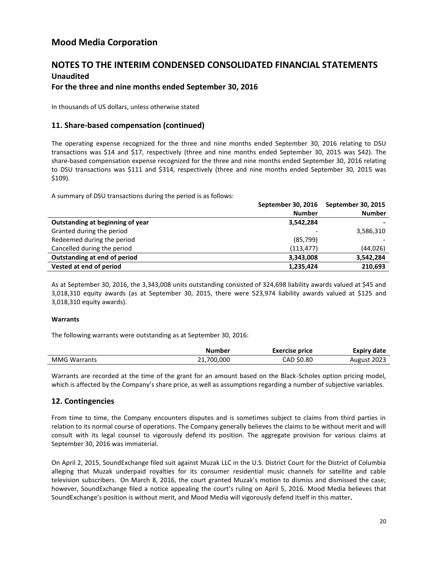## **NOTES TO THE INTERIM CONDENSED CONSOLIDATED FINANCIAL STATEMENTS Unaudited**

### **For the three and nine months ended September 30, 2016**

In thousands of US dollars, unless otherwise stated

### **11. Share-based compensation (continued)**

The operating expense recognized for the three and nine months ended September 30, 2016 relating to DSU transactions was \$14 and \$17, respectively (three and nine months ended September 30, 2015 was \$42). The share-based compensation expense recognized for the three and nine months ended September 30, 2016 relating to DSU transactions was \$111 and \$314, respectively (three and nine months ended September 30, 2015 was \$109).

A summary of DSU transactions during the period is as follows:

|                                  | September 30, 2016 | <b>September 30, 2015</b> |
|----------------------------------|--------------------|---------------------------|
|                                  | <b>Number</b>      | <b>Number</b>             |
| Outstanding at beginning of year | 3,542,284          |                           |
| Granted during the period        |                    | 3,586,310                 |
| Redeemed during the period       | (85, 799)          |                           |
| Cancelled during the period      | (113, 477)         | (44, 026)                 |
| Outstanding at end of period     | 3,343,008          | 3,542,284                 |
| Vested at end of period          | 1,235,424          | 210,693                   |

As at September 30, 2016, the 3,343,008 units outstanding consisted of 324,698 liability awards valued at \$45 and 3,018,310 equity awards (as at September 30, 2015, there were 523,974 liability awards valued at \$125 and 3,018,310 equity awards).

#### **Warrants**

The following warrants were outstanding as at September 30, 2016:

|              | Number     | <b>Exercise price</b> | <b>Expiry date</b> |
|--------------|------------|-----------------------|--------------------|
| MMG Warrants | 21,700,000 | CAD \$0.80            | August 2023        |

Warrants are recorded at the time of the grant for an amount based on the Black-Scholes option pricing model, which is affected by the Company's share price, as well as assumptions regarding a number of subjective variables.

### **12. Contingencies**

From time to time, the Company encounters disputes and is sometimes subject to claims from third parties in relation to its normal course of operations. The Company generally believes the claims to be without merit and will consult with its legal counsel to vigorously defend its position. The aggregate provision for various claims at September 30, 2016 was immaterial.

On April 2, 2015, SoundExchange filed suit against Muzak LLC in the U.S. District Court for the District of Columbia alleging that Muzak underpaid royalties for its consumer residential music channels for satellite and cable television subscribers. On March 8, 2016, the court granted Muzak's motion to dismiss and dismissed the case; however, SoundExchange filed a notice appealing the court's ruling on April 5, 2016. Mood Media believes that SoundExchange's position is without merit, and Mood Media will vigorously defend itself in this matter**.**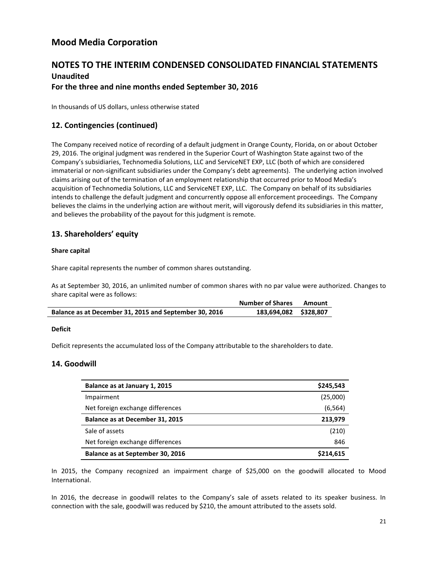## **NOTES TO THE INTERIM CONDENSED CONSOLIDATED FINANCIAL STATEMENTS Unaudited For the three and nine months ended September 30, 2016**

In thousands of US dollars, unless otherwise stated

## **12. Contingencies (continued)**

The Company received notice of recording of a default judgment in Orange County, Florida, on or about October 29, 2016. The original judgment was rendered in the Superior Court of Washington State against two of the Company's subsidiaries, Technomedia Solutions, LLC and ServiceNET EXP, LLC (both of which are considered immaterial or non-significant subsidiaries under the Company's debt agreements). The underlying action involved claims arising out of the termination of an employment relationship that occurred prior to Mood Media's acquisition of Technomedia Solutions, LLC and ServiceNET EXP, LLC. The Company on behalf of its subsidiaries intends to challenge the default judgment and concurrently oppose all enforcement proceedings. The Company believes the claims in the underlying action are without merit, will vigorously defend its subsidiaries in this matter, and believes the probability of the payout for this judgment is remote.

## **13. Shareholders' equity**

#### **Share capital**

Share capital represents the number of common shares outstanding.

As at September 30, 2016, an unlimited number of common shares with no par value were authorized. Changes to share capital were as follows:

|                                                        | <b>Number of Shares</b> | Amount |
|--------------------------------------------------------|-------------------------|--------|
| Balance as at December 31, 2015 and September 30, 2016 | 183,694,082 \$328,807   |        |

#### **Deficit**

Deficit represents the accumulated loss of the Company attributable to the shareholders to date.

### **14. Goodwill**

| Balance as at January 1, 2015    | \$245,543 |
|----------------------------------|-----------|
| Impairment                       | (25,000)  |
| Net foreign exchange differences | (6, 564)  |
| Balance as at December 31, 2015  | 213,979   |
| Sale of assets                   | (210)     |
| Net foreign exchange differences | 846       |
| Balance as at September 30, 2016 | \$214,615 |

In 2015, the Company recognized an impairment charge of \$25,000 on the goodwill allocated to Mood International.

In 2016, the decrease in goodwill relates to the Company's sale of assets related to its speaker business. In connection with the sale, goodwill was reduced by \$210, the amount attributed to the assets sold.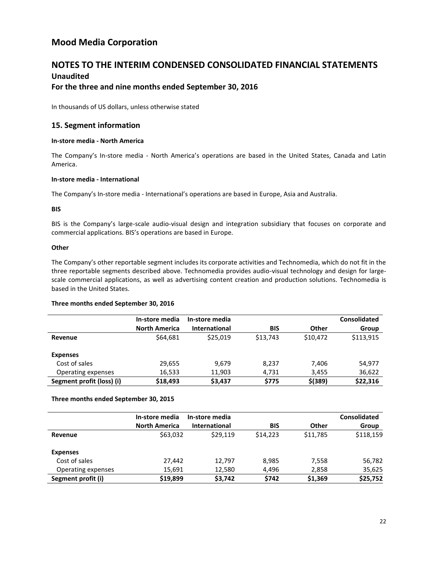## **NOTES TO THE INTERIM CONDENSED CONSOLIDATED FINANCIAL STATEMENTS Unaudited**

### **For the three and nine months ended September 30, 2016**

In thousands of US dollars, unless otherwise stated

### **15. Segment information**

#### **In-store media - North America**

The Company's In-store media - North America's operations are based in the United States, Canada and Latin America.

#### **In-store media - International**

The Company's In-store media - International's operations are based in Europe, Asia and Australia.

#### **BIS**

BIS is the Company's large-scale audio-visual design and integration subsidiary that focuses on corporate and commercial applications. BIS's operations are based in Europe.

#### **Other**

The Company's other reportable segment includes its corporate activities and Technomedia, which do not fit in the three reportable segments described above. Technomedia provides audio-visual technology and design for largescale commercial applications, as well as advertising content creation and production solutions. Technomedia is based in the United States.

#### **Three months ended September 30, 2016**

|                           | In-store media       | In-store media       |            |              | <b>Consolidated</b> |
|---------------------------|----------------------|----------------------|------------|--------------|---------------------|
|                           | <b>North America</b> | <b>International</b> | <b>BIS</b> | <b>Other</b> | Group               |
| Revenue                   | \$64,681             | \$25,019             | \$13,743   | \$10,472     | \$113,915           |
| <b>Expenses</b>           |                      |                      |            |              |                     |
| Cost of sales             | 29,655               | 9,679                | 8,237      | 7,406        | 54,977              |
| Operating expenses        | 16,533               | 11,903               | 4,731      | 3,455        | 36,622              |
| Segment profit (loss) (i) | \$18,493             | \$3,437              | \$775      | $$$ (389)    | \$22,316            |

#### **Three months ended September 30, 2015**

|                    | In-store media       | In-store media       |            |          | <b>Consolidated</b> |
|--------------------|----------------------|----------------------|------------|----------|---------------------|
|                    | <b>North America</b> | <b>International</b> | <b>BIS</b> | Other    | Group               |
| Revenue            | \$63,032             | \$29,119             | \$14.223   | \$11,785 | \$118,159           |
| <b>Expenses</b>    |                      |                      |            |          |                     |
| Cost of sales      | 27,442               | 12.797               | 8,985      | 7,558    | 56,782              |
| Operating expenses | 15,691               | 12,580               | 4,496      | 2,858    | 35,625              |
| Segment profit (i) | \$19,899             | \$3,742              | \$742      | \$1,369  | \$25,752            |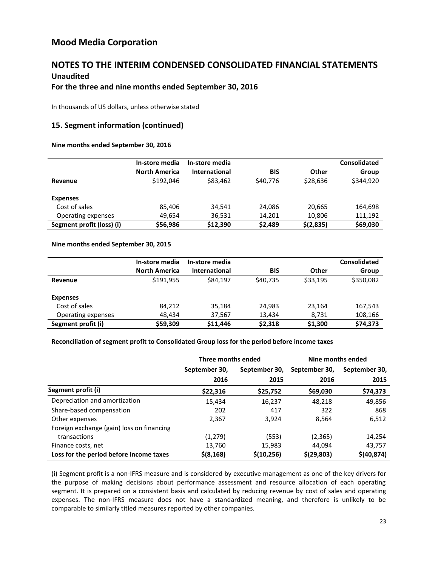## **NOTES TO THE INTERIM CONDENSED CONSOLIDATED FINANCIAL STATEMENTS Unaudited**

### **For the three and nine months ended September 30, 2016**

In thousands of US dollars, unless otherwise stated

### **15. Segment information (continued)**

#### **Nine months ended September 30, 2016**

|                           | In-store media       | In-store media |            |           | Consolidated |
|---------------------------|----------------------|----------------|------------|-----------|--------------|
|                           | <b>North America</b> | International  | <b>BIS</b> | Other     | Group        |
| Revenue                   | \$192,046            | \$83,462       | \$40,776   | \$28,636  | \$344,920    |
| <b>Expenses</b>           |                      |                |            |           |              |
| Cost of sales             | 85.406               | 34,541         | 24.086     | 20,665    | 164,698      |
| Operating expenses        | 49,654               | 36,531         | 14,201     | 10,806    | 111,192      |
| Segment profit (loss) (i) | \$56,986             | \$12,390       | \$2,489    | \$(2,835) | \$69,030     |

#### **Nine months ended September 30, 2015**

|                    | In-store media       | In-store media       |            |          | <b>Consolidated</b> |
|--------------------|----------------------|----------------------|------------|----------|---------------------|
|                    | <b>North America</b> | <b>International</b> | <b>BIS</b> | Other    | Group               |
| Revenue            | \$191.955            | \$84,197             | \$40,735   | \$33,195 | \$350,082           |
| <b>Expenses</b>    |                      |                      |            |          |                     |
| Cost of sales      | 84.212               | 35,184               | 24.983     | 23,164   | 167,543             |
| Operating expenses | 48,434               | 37,567               | 13,434     | 8,731    | 108,166             |
| Segment profit (i) | \$59,309             | \$11,446             | \$2,318    | \$1,300  | \$74,373            |

#### **Reconciliation of segment profit to Consolidated Group loss for the period before income taxes**

|                                           | Three months ended |               | Nine months ended |               |
|-------------------------------------------|--------------------|---------------|-------------------|---------------|
|                                           | September 30,      | September 30, | September 30,     | September 30, |
|                                           | 2016               | 2015          | 2016              | 2015          |
| Segment profit (i)                        | \$22,316           | \$25,752      | \$69,030          | \$74,373      |
| Depreciation and amortization             | 15,434             | 16,237        | 48,218            | 49,856        |
| Share-based compensation                  | 202                | 417           | 322               | 868           |
| Other expenses                            | 2,367              | 3,924         | 8,564             | 6,512         |
| Foreign exchange (gain) loss on financing |                    |               |                   |               |
| transactions                              | (1,279)            | (553)         | (2,365)           | 14,254        |
| Finance costs, net                        | 13,760             | 15,983        | 44.094            | 43,757        |
| Loss for the period before income taxes   | $$$ (8,168)        | \$(10, 256)   | \$(29,803)        | \$(40, 874)   |

(i) Segment profit is a non-IFRS measure and is considered by executive management as one of the key drivers for the purpose of making decisions about performance assessment and resource allocation of each operating segment. It is prepared on a consistent basis and calculated by reducing revenue by cost of sales and operating expenses. The non-IFRS measure does not have a standardized meaning, and therefore is unlikely to be comparable to similarly titled measures reported by other companies.